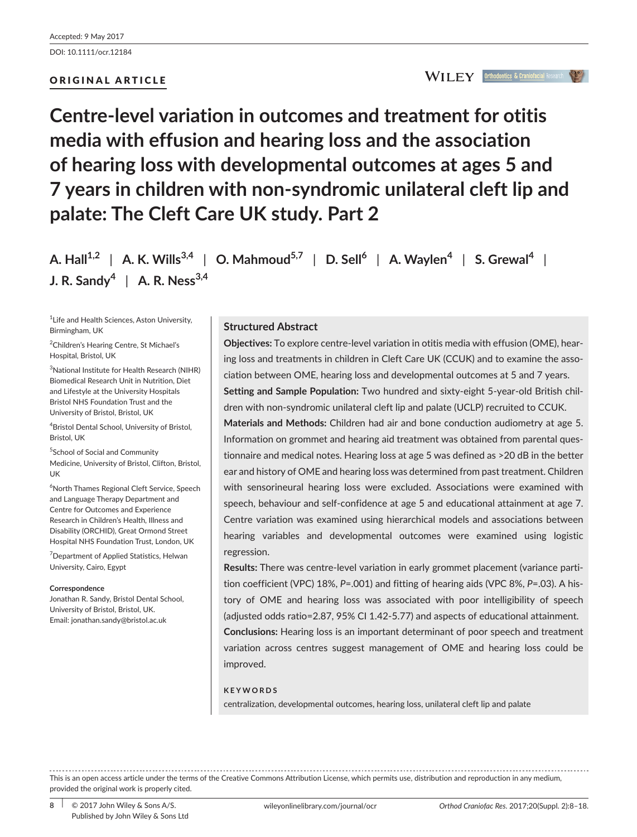DOI: 10.1111/ocr.12184

## ORIGINAL ARTICLE

**Centre-level variation in outcomes and treatment for otitis media with effusion and hearing loss and the association of hearing loss with developmental outcomes at ages 5 and 7 years in children with non-syndromic unilateral cleft lip and palate: The Cleft Care UK study. Part 2**

**A. Hall1,2** | **A. K. Wills3,4** | **O. Mahmoud5,7** | **D. Sell<sup>6</sup>** | **A. Waylen<sup>4</sup>** | **S. Grewal<sup>4</sup>** | **J. R. Sandy<sup>4</sup>** | **A. R. Ness3,4**

1 Life and Health Sciences, Aston University, Birmingham, UK

2 Children's Hearing Centre, St Michael's Hospital, Bristol, UK

3 National Institute for Health Research (NIHR) Biomedical Research Unit in Nutrition, Diet and Lifestyle at the University Hospitals Bristol NHS Foundation Trust and the University of Bristol, Bristol, UK

4 Bristol Dental School, University of Bristol, Bristol, UK

5 School of Social and Community Medicine, University of Bristol, Clifton, Bristol, UK

6 North Thames Regional Cleft Service, Speech and Language Therapy Department and Centre for Outcomes and Experience Research in Children's Health, Illness and Disability (ORCHID), Great Ormond Street Hospital NHS Foundation Trust, London, UK

<sup>7</sup> Department of Applied Statistics, Helwan University, Cairo, Egypt

#### **Correspondence**

Jonathan R. Sandy, Bristol Dental School, University of Bristol, Bristol, UK. Email: [jonathan.sandy@bristol.ac.uk](mailto:jonathan.sandy@bristol.ac.uk)

### **Structured Abstract**

**Objectives:** To explore centre-level variation in otitis media with effusion (OME), hearing loss and treatments in children in Cleft Care UK (CCUK) and to examine the association between OME, hearing loss and developmental outcomes at 5 and 7 years. **Setting and Sample Population:** Two hundred and sixty-eight 5-year-old British children with non-syndromic unilateral cleft lip and palate (UCLP) recruited to CCUK.

**Materials and Methods:** Children had air and bone conduction audiometry at age 5. Information on grommet and hearing aid treatment was obtained from parental questionnaire and medical notes. Hearing loss at age 5 was defined as >20 dB in the better ear and history of OME and hearing loss was determined from past treatment. Children with sensorineural hearing loss were excluded. Associations were examined with speech, behaviour and self-confidence at age 5 and educational attainment at age 7. Centre variation was examined using hierarchical models and associations between hearing variables and developmental outcomes were examined using logistic regression.

**Results:** There was centre-level variation in early grommet placement (variance partition coefficient (VPC) 18%, *P*=.001) and fitting of hearing aids (VPC 8%, *P*=.03). A history of OME and hearing loss was associated with poor intelligibility of speech (adjusted odds ratio=2.87, 95% CI 1.42-5.77) and aspects of educational attainment. **Conclusions:** Hearing loss is an important determinant of poor speech and treatment variation across centres suggest management of OME and hearing loss could be improved.

#### **KEYWORDS**

centralization, developmental outcomes, hearing loss, unilateral cleft lip and palate

This is an open access article under the terms of the [Creative Commons Attribution](http://creativecommons.org/licenses/by/4.0/) License, which permits use, distribution and reproduction in any medium, provided the original work is properly cited.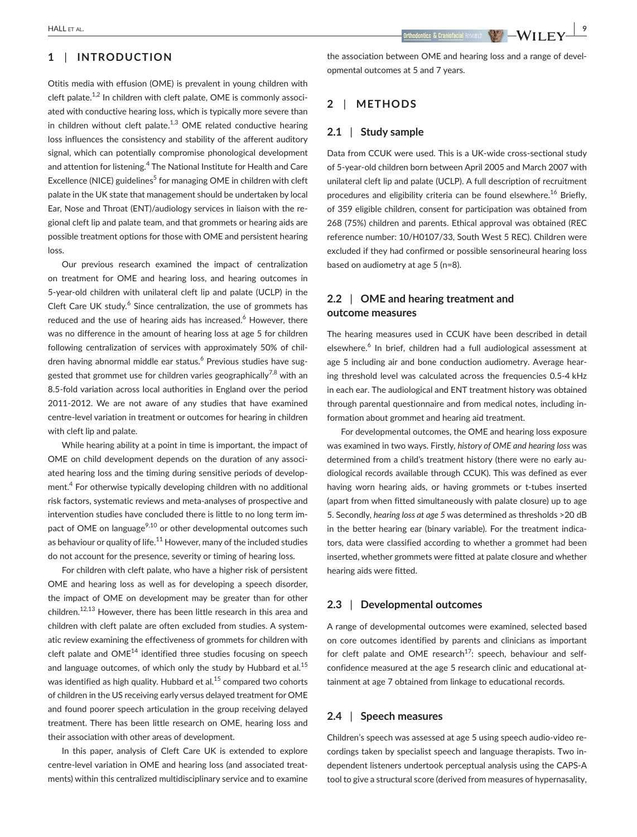## **1** | **INTRODUCTION**

Otitis media with effusion (OME) is prevalent in young children with cleft palate. $1,2$  In children with cleft palate, OME is commonly associated with conductive hearing loss, which is typically more severe than in children without cleft palate.<sup>1,3</sup> OME related conductive hearing loss influences the consistency and stability of the afferent auditory signal, which can potentially compromise phonological development and attention for listening.<sup>4</sup> The National Institute for Health and Care Excellence (NICE) guidelines<sup>5</sup> for managing OME in children with cleft palate in the UK state that management should be undertaken by local Ear, Nose and Throat (ENT)/audiology services in liaison with the regional cleft lip and palate team, and that grommets or hearing aids are possible treatment options for those with OME and persistent hearing loss.

Our previous research examined the impact of centralization on treatment for OME and hearing loss, and hearing outcomes in 5-year-old children with unilateral cleft lip and palate (UCLP) in the Cleft Care UK study.<sup>6</sup> Since centralization, the use of grommets has reduced and the use of hearing aids has increased.<sup>6</sup> However, there was no difference in the amount of hearing loss at age 5 for children following centralization of services with approximately 50% of children having abnormal middle ear status.<sup>6</sup> Previous studies have suggested that grommet use for children varies geographically<sup>7,8</sup> with an 8.5-fold variation across local authorities in England over the period 2011-2012. We are not aware of any studies that have examined centre-level variation in treatment or outcomes for hearing in children with cleft lip and palate.

While hearing ability at a point in time is important, the impact of OME on child development depends on the duration of any associated hearing loss and the timing during sensitive periods of development.<sup>4</sup> For otherwise typically developing children with no additional risk factors, systematic reviews and meta-analyses of prospective and intervention studies have concluded there is little to no long term impact of OME on language<sup>9,10</sup> or other developmental outcomes such as behaviour or quality of life. $11$  However, many of the included studies do not account for the presence, severity or timing of hearing loss.

For children with cleft palate, who have a higher risk of persistent OME and hearing loss as well as for developing a speech disorder, the impact of OME on development may be greater than for other children.<sup>12,13</sup> However, there has been little research in this area and children with cleft palate are often excluded from studies. A systematic review examining the effectiveness of grommets for children with cleft palate and  $OME^{14}$  identified three studies focusing on speech and language outcomes, of which only the study by Hubbard et al. $15$ was identified as high quality. Hubbard et al.<sup>15</sup> compared two cohorts of children in the US receiving early versus delayed treatment for OME and found poorer speech articulation in the group receiving delayed treatment. There has been little research on OME, hearing loss and their association with other areas of development.

In this paper, analysis of Cleft Care UK is extended to explore centre-level variation in OME and hearing loss (and associated treatments) within this centralized multidisciplinary service and to examine the association between OME and hearing loss and a range of devel-

### **2** | **METHODS**

opmental outcomes at 5 and 7 years.

#### **2.1** | **Study sample**

Data from CCUK were used. This is a UK-wide cross-sectional study of 5-year-old children born between April 2005 and March 2007 with unilateral cleft lip and palate (UCLP). A full description of recruitment procedures and eligibility criteria can be found elsewhere.<sup>16</sup> Briefly, of 359 eligible children, consent for participation was obtained from 268 (75%) children and parents. Ethical approval was obtained (REC reference number: 10/H0107/33, South West 5 REC). Children were excluded if they had confirmed or possible sensorineural hearing loss based on audiometry at age 5 (n=8).

## **2.2** | **OME and hearing treatment and outcome measures**

The hearing measures used in CCUK have been described in detail elsewhere.<sup>6</sup> In brief, children had a full audiological assessment at age 5 including air and bone conduction audiometry. Average hearing threshold level was calculated across the frequencies 0.5-4 kHz in each ear. The audiological and ENT treatment history was obtained through parental questionnaire and from medical notes, including information about grommet and hearing aid treatment.

For developmental outcomes, the OME and hearing loss exposure was examined in two ways. Firstly, *history of OME and hearing loss* was determined from a child's treatment history (there were no early audiological records available through CCUK). This was defined as ever having worn hearing aids, or having grommets or t-tubes inserted (apart from when fitted simultaneously with palate closure) up to age 5. Secondly*, hearing loss at age 5* was determined as thresholds >20 dB in the better hearing ear (binary variable). For the treatment indicators, data were classified according to whether a grommet had been inserted, whether grommets were fitted at palate closure and whether hearing aids were fitted.

### **2.3** | **Developmental outcomes**

A range of developmental outcomes were examined, selected based on core outcomes identified by parents and clinicians as important for cleft palate and OME research<sup>17</sup>: speech, behaviour and selfconfidence measured at the age 5 research clinic and educational attainment at age 7 obtained from linkage to educational records.

#### **2.4** | **Speech measures**

Children's speech was assessed at age 5 using speech audio-video recordings taken by specialist speech and language therapists. Two independent listeners undertook perceptual analysis using the CAPS-A tool to give a structural score (derived from measures of hypernasality,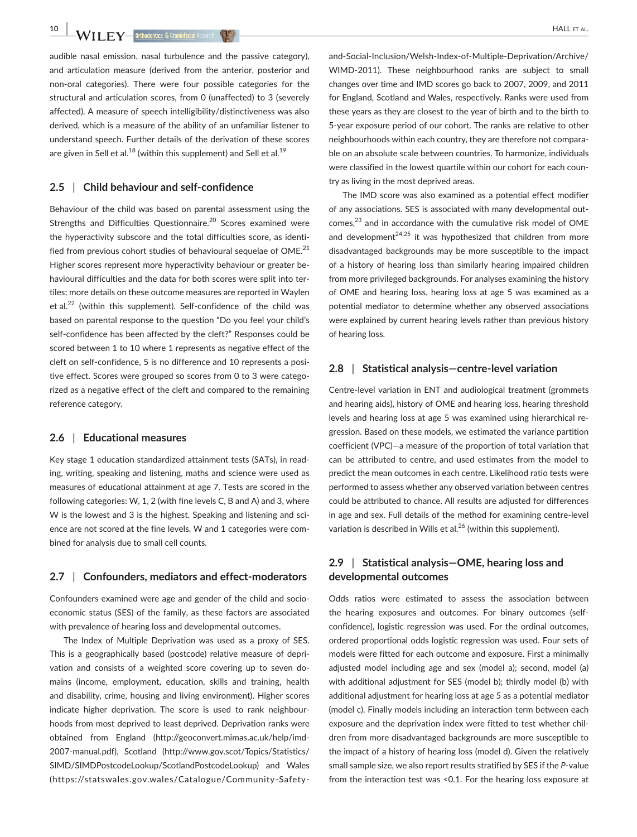**10 WII FY** Inthodontics & Craniofacial Research **(P.O.**)

audible nasal emission, nasal turbulence and the passive category), and articulation measure (derived from the anterior, posterior and non-oral categories). There were four possible categories for the structural and articulation scores, from 0 (unaffected) to 3 (severely affected). A measure of speech intelligibility/distinctiveness was also derived, which is a measure of the ability of an unfamiliar listener to understand speech. Further details of the derivation of these scores are given in Sell et al.<sup>18</sup> (within this supplement) and Sell et al.<sup>19</sup>

#### **2.5** | **Child behaviour and self-confidence**

Behaviour of the child was based on parental assessment using the Strengths and Difficulties Questionnaire.<sup>20</sup> Scores examined were the hyperactivity subscore and the total difficulties score, as identified from previous cohort studies of behavioural sequelae of OME. $^{21}$ Higher scores represent more hyperactivity behaviour or greater behavioural difficulties and the data for both scores were split into tertiles; more details on these outcome measures are reported in Waylen et al.<sup>22</sup> (within this supplement). Self-confidence of the child was based on parental response to the question "Do you feel your child's self-confidence has been affected by the cleft?" Responses could be scored between 1 to 10 where 1 represents as negative effect of the cleft on self-confidence, 5 is no difference and 10 represents a positive effect. Scores were grouped so scores from 0 to 3 were categorized as a negative effect of the cleft and compared to the remaining reference category.

### **2.6** | **Educational measures**

Key stage 1 education standardized attainment tests (SATs), in reading, writing, speaking and listening, maths and science were used as measures of educational attainment at age 7. Tests are scored in the following categories: W, 1, 2 (with fine levels C, B and A) and 3, where W is the lowest and 3 is the highest. Speaking and listening and science are not scored at the fine levels. W and 1 categories were combined for analysis due to small cell counts.

#### **2.7** | **Confounders, mediators and effect-moderators**

Confounders examined were age and gender of the child and socioeconomic status (SES) of the family, as these factors are associated with prevalence of hearing loss and developmental outcomes.

The Index of Multiple Deprivation was used as a proxy of SES. This is a geographically based (postcode) relative measure of deprivation and consists of a weighted score covering up to seven domains (income, employment, education, skills and training, health and disability, crime, housing and living environment). Higher scores indicate higher deprivation. The score is used to rank neighbourhoods from most deprived to least deprived. Deprivation ranks were obtained from England ([http://geoconvert.mimas.ac.uk/help/imd-](http://geoconvert.mimas.ac.uk/help/imd-2007-manual.pdf)[2007-manual.pdf](http://geoconvert.mimas.ac.uk/help/imd-2007-manual.pdf)), Scotland ([http://www.gov.scot/Topics/Statistics/](http://www.gov.scot/Topics/Statistics/SIMD/SIMDPostcodeLookup/ScotlandPostcodeLookup) [SIMD/SIMDPostcodeLookup/ScotlandPostcodeLookup](http://www.gov.scot/Topics/Statistics/SIMD/SIMDPostcodeLookup/ScotlandPostcodeLookup)) and Wales ([https://statswales.gov.wales/Catalogue/Community-Safety-](https://statswales.gov.wales/Catalogue/Community-Safety-and-Social-Inclusion/Welsh-Index-of-Multiple-Deprivation/Archive/WIMD-2011) [and-Social-Inclusion/Welsh-Index-of-Multiple-Deprivation/Archive/](https://statswales.gov.wales/Catalogue/Community-Safety-and-Social-Inclusion/Welsh-Index-of-Multiple-Deprivation/Archive/WIMD-2011) [WIMD-2011](https://statswales.gov.wales/Catalogue/Community-Safety-and-Social-Inclusion/Welsh-Index-of-Multiple-Deprivation/Archive/WIMD-2011)). These neighbourhood ranks are subject to small changes over time and IMD scores go back to 2007, 2009, and 2011 for England, Scotland and Wales, respectively. Ranks were used from these years as they are closest to the year of birth and to the birth to 5-year exposure period of our cohort. The ranks are relative to other neighbourhoods within each country, they are therefore not comparable on an absolute scale between countries. To harmonize, individuals were classified in the lowest quartile within our cohort for each country as living in the most deprived areas.

The IMD score was also examined as a potential effect modifier of any associations. SES is associated with many developmental outcomes, $^{23}$  and in accordance with the cumulative risk model of OME and development<sup>24,25</sup> it was hypothesized that children from more disadvantaged backgrounds may be more susceptible to the impact of a history of hearing loss than similarly hearing impaired children from more privileged backgrounds. For analyses examining the history of OME and hearing loss, hearing loss at age 5 was examined as a potential mediator to determine whether any observed associations were explained by current hearing levels rather than previous history of hearing loss.

### **2.8** | **Statistical analysis—centre-level variation**

Centre-level variation in ENT and audiological treatment (grommets and hearing aids), history of OME and hearing loss, hearing threshold levels and hearing loss at age 5 was examined using hierarchical regression. Based on these models, we estimated the variance partition coefficient (VPC)—a measure of the proportion of total variation that can be attributed to centre, and used estimates from the model to predict the mean outcomes in each centre. Likelihood ratio tests were performed to assess whether any observed variation between centres could be attributed to chance. All results are adjusted for differences in age and sex. Full details of the method for examining centre-level variation is described in Wills et al.<sup>26</sup> (within this supplement).

# **2.9** | **Statistical analysis—OME, hearing loss and developmental outcomes**

Odds ratios were estimated to assess the association between the hearing exposures and outcomes. For binary outcomes (selfconfidence), logistic regression was used. For the ordinal outcomes, ordered proportional odds logistic regression was used. Four sets of models were fitted for each outcome and exposure. First a minimally adjusted model including age and sex (model a); second, model (a) with additional adjustment for SES (model b); thirdly model (b) with additional adjustment for hearing loss at age 5 as a potential mediator (model c). Finally models including an interaction term between each exposure and the deprivation index were fitted to test whether children from more disadvantaged backgrounds are more susceptible to the impact of a history of hearing loss (model d). Given the relatively small sample size, we also report results stratified by SES if the *P*-value from the interaction test was <0.1. For the hearing loss exposure at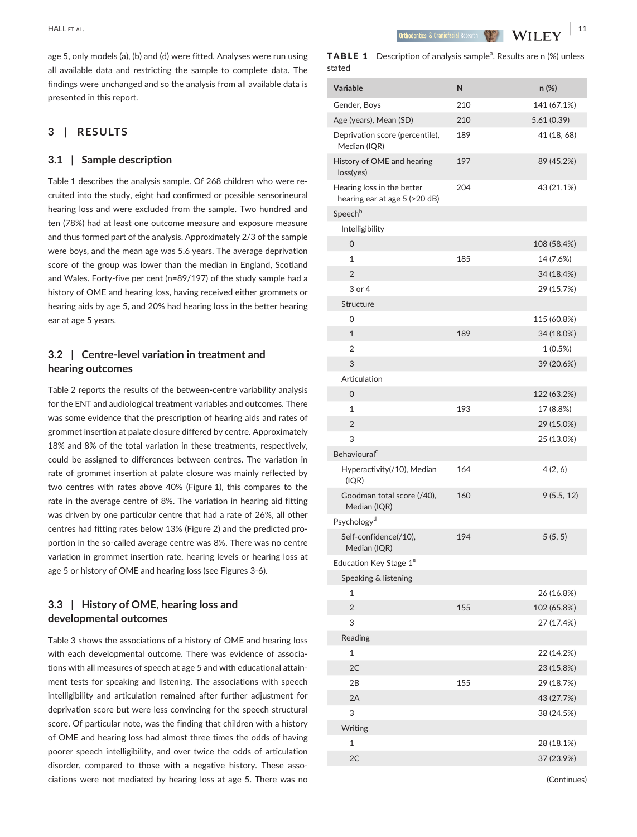age 5, only models (a), (b) and (d) were fitted. Analyses were run using all available data and restricting the sample to complete data. The findings were unchanged and so the analysis from all available data is presented in this report.

## **3** | **RESULTS**

### **3.1** | **Sample description**

Table 1 describes the analysis sample. Of 268 children who were recruited into the study, eight had confirmed or possible sensorineural hearing loss and were excluded from the sample. Two hundred and ten (78%) had at least one outcome measure and exposure measure and thus formed part of the analysis. Approximately 2/3 of the sample were boys, and the mean age was 5.6 years. The average deprivation score of the group was lower than the median in England, Scotland and Wales. Forty-five per cent (n=89/197) of the study sample had a history of OME and hearing loss, having received either grommets or hearing aids by age 5, and 20% had hearing loss in the better hearing ear at age 5 years.

## **3.2** | **Centre-level variation in treatment and hearing outcomes**

Table 2 reports the results of the between-centre variability analysis for the ENT and audiological treatment variables and outcomes. There was some evidence that the prescription of hearing aids and rates of grommet insertion at palate closure differed by centre. Approximately 18% and 8% of the total variation in these treatments, respectively, could be assigned to differences between centres. The variation in rate of grommet insertion at palate closure was mainly reflected by two centres with rates above 40% (Figure 1), this compares to the rate in the average centre of 8%. The variation in hearing aid fitting was driven by one particular centre that had a rate of 26%, all other centres had fitting rates below 13% (Figure 2) and the predicted proportion in the so-called average centre was 8%. There was no centre variation in grommet insertion rate, hearing levels or hearing loss at age 5 or history of OME and hearing loss (see Figures 3-6).

## **3.3** | **History of OME, hearing loss and developmental outcomes**

Table 3 shows the associations of a history of OME and hearing loss with each developmental outcome. There was evidence of associations with all measures of speech at age 5 and with educational attainment tests for speaking and listening. The associations with speech intelligibility and articulation remained after further adjustment for deprivation score but were less convincing for the speech structural score. Of particular note, was the finding that children with a history of OME and hearing loss had almost three times the odds of having poorer speech intelligibility, and over twice the odds of articulation disorder, compared to those with a negative history. These associations were not mediated by hearing loss at age 5. There was no

 **|** HALL et al. **11**

|        | <b>TABLE 1</b> Description of analysis sample <sup>a</sup> . Results are n (%) unless |
|--------|---------------------------------------------------------------------------------------|
| stated |                                                                                       |

| <b>Variable</b>                                             | N   | n (%)       |
|-------------------------------------------------------------|-----|-------------|
| Gender, Boys                                                | 210 | 141 (67.1%) |
| Age (years), Mean (SD)                                      | 210 | 5.61(0.39)  |
| Deprivation score (percentile),<br>Median (IQR)             | 189 | 41 (18, 68) |
| History of OME and hearing<br>loss(yes)                     | 197 | 89 (45.2%)  |
| Hearing loss in the better<br>hearing ear at age 5 (>20 dB) | 204 | 43 (21.1%)  |
| Speech <sup>b</sup>                                         |     |             |
| Intelligibility                                             |     |             |
| 0                                                           |     | 108 (58.4%) |
| $\mathbf{1}$                                                | 185 | 14 (7.6%)   |
| $\overline{2}$                                              |     | 34 (18.4%)  |
| 3 or 4                                                      |     | 29 (15.7%)  |
| Structure                                                   |     |             |
| 0                                                           |     | 115 (60.8%) |
| $\mathbf{1}$                                                | 189 | 34 (18.0%)  |
| $\overline{2}$                                              |     | 1(0.5%)     |
| 3                                                           |     | 39 (20.6%)  |
| Articulation                                                |     |             |
| 0                                                           |     | 122 (63.2%) |
| $\mathbf{1}$                                                | 193 | 17 (8.8%)   |
| $\overline{2}$                                              |     | 29 (15.0%)  |
| 3                                                           |     | 25 (13.0%)  |
| Behavioural <sup>c</sup>                                    |     |             |
| Hyperactivity(/10), Median<br>(IQR)                         | 164 | 4(2, 6)     |
| Goodman total score (/40),<br>Median (IQR)                  | 160 | 9(5.5, 12)  |
| Psychology <sup>d</sup>                                     |     |             |
| Self-confidence(/10),<br>Median (IQR)                       | 194 | 5(5, 5)     |
| Education Key Stage 1 <sup>e</sup>                          |     |             |
| Speaking & listening                                        |     |             |
| 1                                                           |     | 26 (16.8%)  |
| $\overline{2}$                                              | 155 | 102 (65.8%) |
| 3                                                           |     | 27 (17.4%)  |
| Reading                                                     |     |             |
| 1                                                           |     | 22 (14.2%)  |
| 2C                                                          |     | 23 (15.8%)  |
| 2Β                                                          | 155 | 29 (18.7%)  |
| 2A                                                          |     | 43 (27.7%)  |
| 3                                                           |     | 38 (24.5%)  |
| Writing                                                     |     |             |
| 1                                                           |     | 28 (18.1%)  |
| 2C                                                          |     | 37 (23.9%)  |
|                                                             |     |             |

(Continues)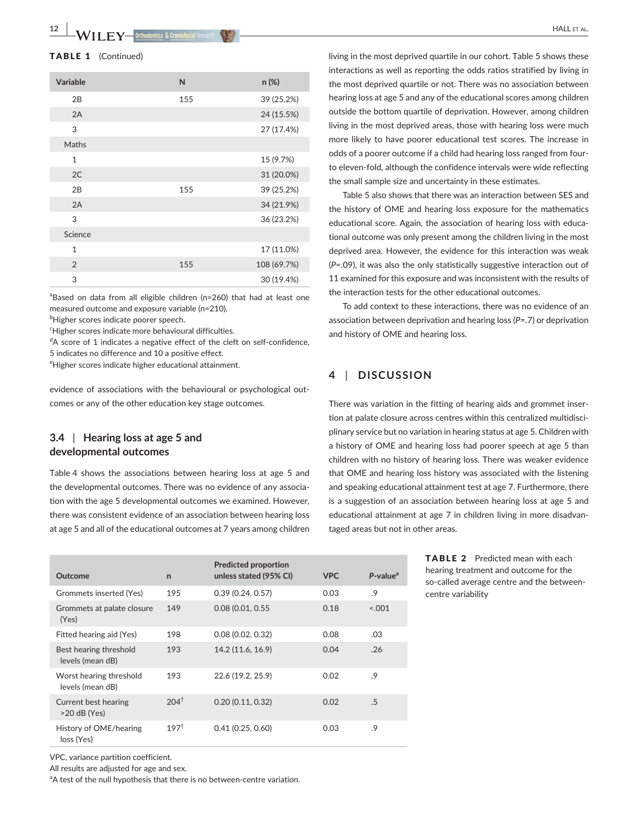#### TABLE 1 (Continued)

| Variable       | N   | $n (\%)$    |
|----------------|-----|-------------|
| 2B             | 155 | 39 (25.2%)  |
| 2A             |     | 24 (15.5%)  |
| 3              |     | 27 (17.4%)  |
| Maths          |     |             |
| $\mathbf{1}$   |     | 15 (9.7%)   |
| 2C             |     | 31 (20.0%)  |
| 2B             | 155 | 39 (25.2%)  |
| 2A             |     | 34 (21.9%)  |
| 3              |     | 36 (23.2%)  |
| Science        |     |             |
| $\mathbf{1}$   |     | 17 (11.0%)  |
| $\overline{2}$ | 155 | 108 (69.7%) |
| 3              |     | 30 (19.4%)  |

<sup>a</sup>Based on data from all eligible children (n=260) that had at least one measured outcome and exposure variable (n=210).

 $^{\rm b}$ Higher scores indicate poorer speech.

<sup>c</sup>Higher scores indicate more behavioural difficulties.

<sup>d</sup>A score of 1 indicates a negative effect of the cleft on self-confidence, 5 indicates no difference and 10 a positive effect.

<sup>e</sup>Higher scores indicate higher educational attainment.

evidence of associations with the behavioural or psychological outcomes or any of the other education key stage outcomes.

## **3.4** | **Hearing loss at age 5 and developmental outcomes**

Table 4 shows the associations between hearing loss at age 5 and the developmental outcomes. There was no evidence of any association with the age 5 developmental outcomes we examined. However, there was consistent evidence of an association between hearing loss at age 5 and all of the educational outcomes at 7 years among children

| Outcome                                     | $\mathsf{n}$    | <b>Predicted proportion</b><br>unless stated (95% CI) | <b>VPC</b> | $P$ -value <sup>a</sup> |
|---------------------------------------------|-----------------|-------------------------------------------------------|------------|-------------------------|
| Grommets inserted (Yes)                     | 195             | 0.39(0.24, 0.57)                                      | 0.03       | .9                      |
| Grommets at palate closure<br>(Yes)         | 149             | 0.08 (0.01, 0.55                                      | 0.18       | < 0.001                 |
| Fitted hearing aid (Yes)                    | 198             | 0.08(0.02, 0.32)                                      | 0.08       | .03                     |
| Best hearing threshold<br>levels (mean dB)  | 193             | 14.2 (11.6, 16.9)                                     | 0.04       | .26                     |
| Worst hearing threshold<br>levels (mean dB) | 193             | 22.6 (19.2, 25.9)                                     | 0.02       | .9                      |
| Current best hearing<br>$>20$ dB (Yes)      | $204^{\dagger}$ | 0.20(0.11, 0.32)                                      | 0.02       | .5                      |
| History of OME/hearing<br>loss (Yes)        | $197^{\dagger}$ | 0.41(0.25, 0.60)                                      | 0.03       | .9                      |

VPC, variance partition coefficient.

All results are adjusted for age and sex.

<sup>a</sup>A test of the null hypothesis that there is no between-centre variation.

living in the most deprived quartile in our cohort. Table 5 shows these interactions as well as reporting the odds ratios stratified by living in the most deprived quartile or not. There was no association between hearing loss at age 5 and any of the educational scores among children outside the bottom quartile of deprivation. However, among children living in the most deprived areas, those with hearing loss were much more likely to have poorer educational test scores. The increase in odds of a poorer outcome if a child had hearing loss ranged from fourto eleven-fold, although the confidence intervals were wide reflecting the small sample size and uncertainty in these estimates.

Table 5 also shows that there was an interaction between SES and the history of OME and hearing loss exposure for the mathematics educational score. Again, the association of hearing loss with educational outcome was only present among the children living in the most deprived area. However, the evidence for this interaction was weak (*P*=.09), it was also the only statistically suggestive interaction out of 11 examined for this exposure and was inconsistent with the results of the interaction tests for the other educational outcomes.

To add context to these interactions, there was no evidence of an association between deprivation and hearing loss (*P*=.7) or deprivation and history of OME and hearing loss.

# **4** | **DISCUSSION**

There was variation in the fitting of hearing aids and grommet insertion at palate closure across centres within this centralized multidisciplinary service but no variation in hearing status at age 5. Children with a history of OME and hearing loss had poorer speech at age 5 than children with no history of hearing loss. There was weaker evidence that OME and hearing loss history was associated with the listening and speaking educational attainment test at age 7. Furthermore, there is a suggestion of an association between hearing loss at age 5 and educational attainment at age 7 in children living in more disadvantaged areas but not in other areas.

> TABLE 2 Predicted mean with each hearing treatment and outcome for the so-called average centre and the betweencentre variability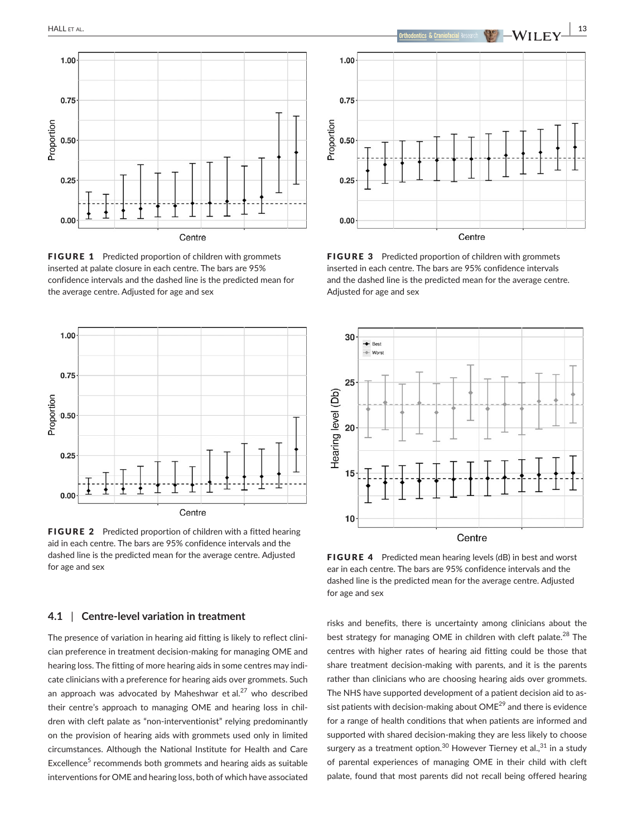

FIGURE 1 Predicted proportion of children with grommets inserted at palate closure in each centre. The bars are 95% confidence intervals and the dashed line is the predicted mean for the average centre. Adjusted for age and sex



FIGURE 2 Predicted proportion of children with a fitted hearing aid in each centre. The bars are 95% confidence intervals and the dashed line is the predicted mean for the average centre. Adjusted for age and sex

## **4.1** | **Centre-level variation in treatment**

The presence of variation in hearing aid fitting is likely to reflect clinician preference in treatment decision-making for managing OME and hearing loss. The fitting of more hearing aids in some centres may indicate clinicians with a preference for hearing aids over grommets. Such an approach was advocated by Maheshwar et al. $27$  who described their centre's approach to managing OME and hearing loss in children with cleft palate as "non-interventionist" relying predominantly on the provision of hearing aids with grommets used only in limited circumstances. Although the National Institute for Health and Care Excellence<sup>5</sup> recommends both grommets and hearing aids as suitable interventions for OME and hearing loss, both of which have associated



FIGURE 3 Predicted proportion of children with grommets inserted in each centre. The bars are 95% confidence intervals and the dashed line is the predicted mean for the average centre. Adjusted for age and sex



FIGURE 4 Predicted mean hearing levels (dB) in best and worst ear in each centre. The bars are 95% confidence intervals and the dashed line is the predicted mean for the average centre. Adjusted for age and sex

risks and benefits, there is uncertainty among clinicians about the best strategy for managing OME in children with cleft palate.<sup>28</sup> The centres with higher rates of hearing aid fitting could be those that share treatment decision-making with parents, and it is the parents rather than clinicians who are choosing hearing aids over grommets. The NHS have supported development of a patient decision aid to assist patients with decision-making about  $OME^{29}$  and there is evidence for a range of health conditions that when patients are informed and supported with shared decision-making they are less likely to choose surgery as a treatment option.<sup>30</sup> However Tierney et al.,  $31$  in a study of parental experiences of managing OME in their child with cleft palate, found that most parents did not recall being offered hearing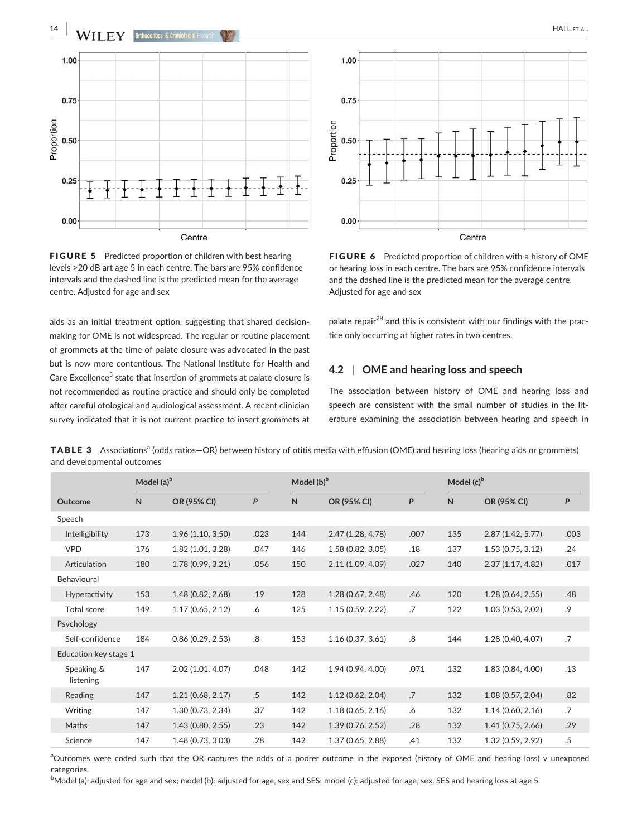

FIGURE 5 Predicted proportion of children with best hearing levels >20 dB art age 5 in each centre. The bars are 95% confidence intervals and the dashed line is the predicted mean for the average centre. Adjusted for age and sex

aids as an initial treatment option, suggesting that shared decisionmaking for OME is not widespread. The regular or routine placement of grommets at the time of palate closure was advocated in the past but is now more contentious. The National Institute for Health and Care Excellence<sup>5</sup> state that insertion of grommets at palate closure is not recommended as routine practice and should only be completed after careful otological and audiological assessment. A recent clinician survey indicated that it is not current practice to insert grommets at



FIGURE 6 Predicted proportion of children with a history of OME or hearing loss in each centre. The bars are 95% confidence intervals and the dashed line is the predicted mean for the average centre. Adjusted for age and sex

palate repair<sup>28</sup> and this is consistent with our findings with the practice only occurring at higher rates in two centres.

## **4.2** | **OME and hearing loss and speech**

The association between history of OME and hearing loss and speech are consistent with the small number of studies in the literature examining the association between hearing and speech in

TABLE 3 Associations<sup>a</sup> (odds ratios-OR) between history of otitis media with effusion (OME) and hearing loss (hearing aids or grommets) and developmental outcomes

|                         | Model $(a)^b$ |                   |        |     | Model (b) <sup>b</sup> |      |     | Model $(c)^b$     |      |  |
|-------------------------|---------------|-------------------|--------|-----|------------------------|------|-----|-------------------|------|--|
| Outcome                 | N             | OR (95% CI)       | P      | N   | OR (95% CI)            | P    | N   | OR (95% CI)       | P    |  |
| Speech                  |               |                   |        |     |                        |      |     |                   |      |  |
| Intelligibility         | 173           | 1.96(1.10, 3.50)  | .023   | 144 | 2.47 (1.28, 4.78)      | .007 | 135 | 2.87(1.42, 5.77)  | .003 |  |
| <b>VPD</b>              | 176           | 1.82 (1.01, 3.28) | .047   | 146 | 1.58 (0.82, 3.05)      | .18  | 137 | 1.53(0.75, 3.12)  | .24  |  |
| Articulation            | 180           | 1.78(0.99, 3.21)  | .056   | 150 | 2.11(1.09, 4.09)       | .027 | 140 | 2.37(1.17, 4.82)  | .017 |  |
| Behavioural             |               |                   |        |     |                        |      |     |                   |      |  |
| Hyperactivity           | 153           | 1.48 (0.82, 2.68) | .19    | 128 | 1.28(0.67, 2.48)       | .46  | 120 | 1.28(0.64, 2.55)  | .48  |  |
| Total score             | 149           | 1.17(0.65, 2.12)  | .6     | 125 | 1.15(0.59, 2.22)       | .7   | 122 | 1.03 (0.53, 2.02) | .9   |  |
| Psychology              |               |                   |        |     |                        |      |     |                   |      |  |
| Self-confidence         | 184           | 0.86(0.29, 2.53)  | .8     | 153 | 1.16(0.37, 3.61)       | .8   | 144 | 1.28 (0.40, 4.07) | .7   |  |
| Education key stage 1   |               |                   |        |     |                        |      |     |                   |      |  |
| Speaking &<br>listening | 147           | 2.02 (1.01, 4.07) | .048   | 142 | 1.94 (0.94, 4.00)      | .071 | 132 | 1.83 (0.84, 4.00) | .13  |  |
| Reading                 | 147           | 1.21(0.68, 2.17)  | $.5\,$ | 142 | 1.12(0.62, 2.04)       | .7   | 132 | 1.08(0.57, 2.04)  | .82  |  |
| Writing                 | 147           | 1.30 (0.73, 2.34) | .37    | 142 | 1.18(0.65, 2.16)       | .6   | 132 | 1.14(0.60, 2.16)  | .7   |  |
| Maths                   | 147           | 1.43(0.80, 2.55)  | .23    | 142 | 1.39(0.76, 2.52)       | .28  | 132 | 1.41(0.75, 2.66)  | .29  |  |
| Science                 | 147           | 1.48 (0.73, 3.03) | .28    | 142 | 1.37 (0.65, 2.88)      | .41  | 132 | 1.32 (0.59, 2.92) | .5   |  |

<sup>a</sup>Outcomes were coded such that the OR captures the odds of a poorer outcome in the exposed (history of OME and hearing loss) v unexposed categories.

 $^{\rm b}$ Model (a): adjusted for age and sex; model (b): adjusted for age, sex and SES; model (c): adjusted for age, sex, SES and hearing loss at age 5.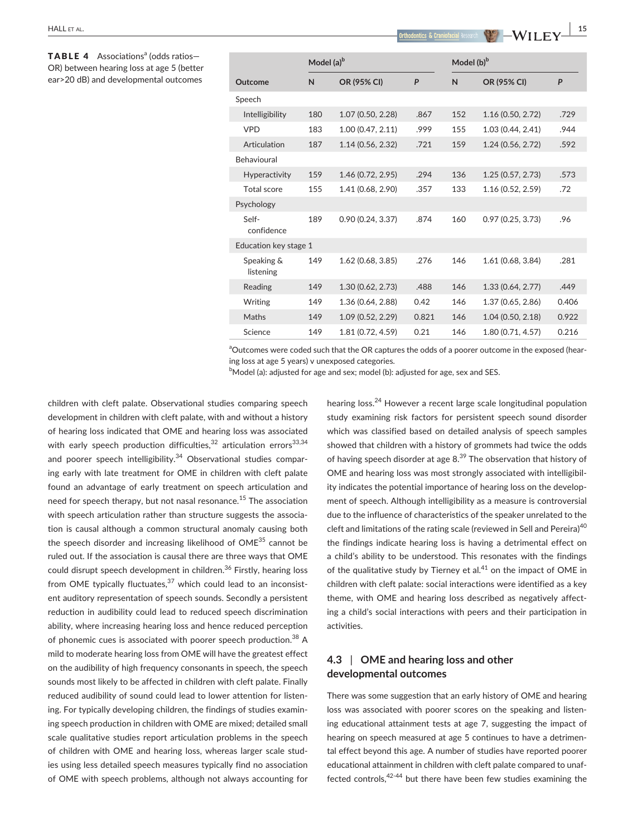TABLE 4 Associations<sup>a</sup> (odds ratios-OR) between hearing loss at age 5 (better ear>20 dB) and developmental outcomes

|                         | Model (a) <sup>b</sup> |                   |       | Model (b) <sup>b</sup> |                   |       |
|-------------------------|------------------------|-------------------|-------|------------------------|-------------------|-------|
| Outcome                 | N                      | OR (95% CI)       | P     | N                      | OR (95% CI)       | P     |
| Speech                  |                        |                   |       |                        |                   |       |
| Intelligibility         | 180                    | 1.07 (0.50, 2.28) | .867  | 152                    | 1.16 (0.50, 2.72) | .729  |
| <b>VPD</b>              | 183                    | 1.00 (0.47, 2.11) | .999  | 155                    | 1.03 (0.44, 2.41) | .944  |
| Articulation            | 187                    | 1.14(0.56, 2.32)  | .721  | 159                    | 1.24(0.56, 2.72)  | .592  |
| Behavioural             |                        |                   |       |                        |                   |       |
| <b>Hyperactivity</b>    | 159                    | 1.46 (0.72, 2.95) | .294  | 136                    | 1.25(0.57, 2.73)  | .573  |
| Total score             | 155                    | 1.41 (0.68, 2.90) | .357  | 133                    | 1.16 (0.52, 2.59) | .72   |
| Psychology              |                        |                   |       |                        |                   |       |
| Self-<br>confidence     | 189                    | 0.90(0.24, 3.37)  | .874  | 160                    | 0.97(0.25, 3.73)  | .96   |
| Education key stage 1   |                        |                   |       |                        |                   |       |
| Speaking &<br>listening | 149                    | 1.62 (0.68, 3.85) | .276  | 146                    | 1.61 (0.68, 3.84) | .281  |
| Reading                 | 149                    | 1.30 (0.62, 2.73) | .488  | 146                    | 1.33 (0.64, 2.77) | .449  |
| Writing                 | 149                    | 1.36 (0.64, 2.88) | 0.42  | 146                    | 1.37(0.65, 2.86)  | 0.406 |
| Maths                   | 149                    | 1.09 (0.52, 2.29) | 0.821 | 146                    | 1.04(0.50, 2.18)  | 0.922 |
| Science                 | 149                    | 1.81 (0.72, 4.59) | 0.21  | 146                    | 1.80 (0.71, 4.57) | 0.216 |

<sup>a</sup>Outcomes were coded such that the OR captures the odds of a poorer outcome in the exposed (hearing loss at age 5 years) v unexposed categories.

 $^{\rm b}$ Model (a): adjusted for age and sex; model (b): adjusted for age, sex and SES.

children with cleft palate. Observational studies comparing speech development in children with cleft palate, with and without a history of hearing loss indicated that OME and hearing loss was associated with early speech production difficulties, $32$  articulation errors $33,34$ and poorer speech intelligibility. $34$  Observational studies comparing early with late treatment for OME in children with cleft palate found an advantage of early treatment on speech articulation and need for speech therapy, but not nasal resonance.<sup>15</sup> The association with speech articulation rather than structure suggests the association is causal although a common structural anomaly causing both the speech disorder and increasing likelihood of OME<sup>35</sup> cannot be ruled out. If the association is causal there are three ways that OME could disrupt speech development in children.<sup>36</sup> Firstly, hearing loss from OME typically fluctuates, $37$  which could lead to an inconsistent auditory representation of speech sounds. Secondly a persistent reduction in audibility could lead to reduced speech discrimination ability, where increasing hearing loss and hence reduced perception of phonemic cues is associated with poorer speech production.<sup>38</sup> A mild to moderate hearing loss from OME will have the greatest effect on the audibility of high frequency consonants in speech, the speech sounds most likely to be affected in children with cleft palate. Finally reduced audibility of sound could lead to lower attention for listening. For typically developing children, the findings of studies examining speech production in children with OME are mixed; detailed small scale qualitative studies report articulation problems in the speech of children with OME and hearing loss, whereas larger scale studies using less detailed speech measures typically find no association of OME with speech problems, although not always accounting for hearing loss.24 However a recent large scale longitudinal population study examining risk factors for persistent speech sound disorder which was classified based on detailed analysis of speech samples showed that children with a history of grommets had twice the odds of having speech disorder at age  $8.^{39}$  The observation that history of OME and hearing loss was most strongly associated with intelligibility indicates the potential importance of hearing loss on the development of speech. Although intelligibility as a measure is controversial due to the influence of characteristics of the speaker unrelated to the cleft and limitations of the rating scale (reviewed in Sell and Pereira)<sup>40</sup> the findings indicate hearing loss is having a detrimental effect on a child's ability to be understood. This resonates with the findings of the qualitative study by Tierney et al. $41$  on the impact of OME in children with cleft palate: social interactions were identified as a key theme, with OME and hearing loss described as negatively affecting a child's social interactions with peers and their participation in activities.

# **4.3** | **OME and hearing loss and other developmental outcomes**

There was some suggestion that an early history of OME and hearing loss was associated with poorer scores on the speaking and listening educational attainment tests at age 7, suggesting the impact of hearing on speech measured at age 5 continues to have a detrimental effect beyond this age. A number of studies have reported poorer educational attainment in children with cleft palate compared to unaffected controls,  $42-44$  but there have been few studies examining the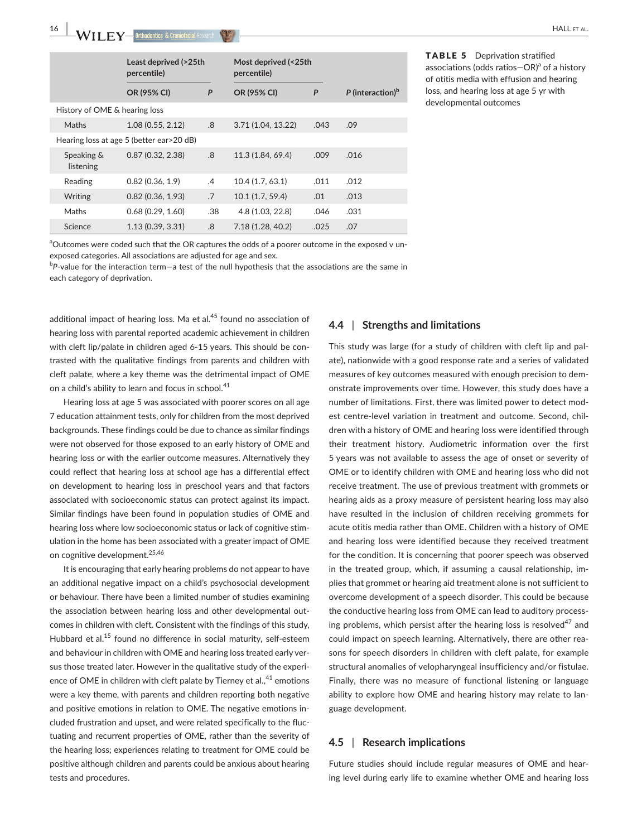|                               | Least deprived (>25th<br>percentile)       |               | Most deprived (<25th<br>percentile) |      |                              |
|-------------------------------|--------------------------------------------|---------------|-------------------------------------|------|------------------------------|
|                               | OR (95% CI)                                | P             | OR (95% CI)                         | P    | P (interaction) <sup>b</sup> |
| History of OME & hearing loss |                                            |               |                                     |      |                              |
| Maths                         | 1.08(0.55, 2.12)                           | .8            | 3.71 (1.04, 13.22)                  | .043 | .09                          |
|                               | Hearing loss at age 5 (better ear > 20 dB) |               |                                     |      |                              |
| Speaking &<br>listening       | 0.87(0.32, 2.38)                           | .8            | 11.3 (1.84, 69.4)                   | .009 | .016                         |
| Reading                       | 0.82(0.36, 1.9)                            | $\mathcal{A}$ | 10.4(1.7.63.1)                      | .011 | .012                         |
| Writing                       | 0.82(0.36, 1.93)                           | .7            | 10.1(1.7, 59.4)                     | .01  | .013                         |
| Maths                         | 0.68(0.29, 1.60)                           | .38           | 4.8 (1.03, 22.8)                    | .046 | .031                         |
| Science                       | 1.13 (0.39, 3.31)                          | .8            | 7.18 (1.28, 40.2)                   | .025 | .07                          |

TABLE 5 Deprivation stratified associations (odds ratios-OR)<sup>a</sup> of a history of otitis media with effusion and hearing loss, and hearing loss at age 5 yr with developmental outcomes

<sup>a</sup>Outcomes were coded such that the OR captures the odds of a poorer outcome in the exposed v unexposed categories. All associations are adjusted for age and sex.

b *P*-value for the interaction term—a test of the null hypothesis that the associations are the same in each category of deprivation.

additional impact of hearing loss. Ma et al. $45$  found no association of hearing loss with parental reported academic achievement in children with cleft lip/palate in children aged 6-15 years. This should be contrasted with the qualitative findings from parents and children with cleft palate, where a key theme was the detrimental impact of OME on a child's ability to learn and focus in school.<sup>41</sup>

Hearing loss at age 5 was associated with poorer scores on all age 7 education attainment tests, only for children from the most deprived backgrounds. These findings could be due to chance as similar findings were not observed for those exposed to an early history of OME and hearing loss or with the earlier outcome measures. Alternatively they could reflect that hearing loss at school age has a differential effect on development to hearing loss in preschool years and that factors associated with socioeconomic status can protect against its impact. Similar findings have been found in population studies of OME and hearing loss where low socioeconomic status or lack of cognitive stimulation in the home has been associated with a greater impact of OME on cognitive development.<sup>25,46</sup>

It is encouraging that early hearing problems do not appear to have an additional negative impact on a child's psychosocial development or behaviour. There have been a limited number of studies examining the association between hearing loss and other developmental outcomes in children with cleft. Consistent with the findings of this study, Hubbard et al.<sup>15</sup> found no difference in social maturity, self-esteem and behaviour in children with OME and hearing loss treated early versus those treated later. However in the qualitative study of the experience of OME in children with cleft palate by Tierney et al., $41$  emotions were a key theme, with parents and children reporting both negative and positive emotions in relation to OME. The negative emotions included frustration and upset, and were related specifically to the fluctuating and recurrent properties of OME, rather than the severity of the hearing loss; experiences relating to treatment for OME could be positive although children and parents could be anxious about hearing tests and procedures.

## **4.4** | **Strengths and limitations**

This study was large (for a study of children with cleft lip and palate), nationwide with a good response rate and a series of validated measures of key outcomes measured with enough precision to demonstrate improvements over time. However, this study does have a number of limitations. First, there was limited power to detect modest centre-level variation in treatment and outcome. Second, children with a history of OME and hearing loss were identified through their treatment history. Audiometric information over the first 5 years was not available to assess the age of onset or severity of OME or to identify children with OME and hearing loss who did not receive treatment. The use of previous treatment with grommets or hearing aids as a proxy measure of persistent hearing loss may also have resulted in the inclusion of children receiving grommets for acute otitis media rather than OME. Children with a history of OME and hearing loss were identified because they received treatment for the condition. It is concerning that poorer speech was observed in the treated group, which, if assuming a causal relationship, implies that grommet or hearing aid treatment alone is not sufficient to overcome development of a speech disorder. This could be because the conductive hearing loss from OME can lead to auditory processing problems, which persist after the hearing loss is resolved<sup>47</sup> and could impact on speech learning. Alternatively, there are other reasons for speech disorders in children with cleft palate, for example structural anomalies of velopharyngeal insufficiency and/or fistulae. Finally, there was no measure of functional listening or language ability to explore how OME and hearing history may relate to language development.

### **4.5** | **Research implications**

Future studies should include regular measures of OME and hearing level during early life to examine whether OME and hearing loss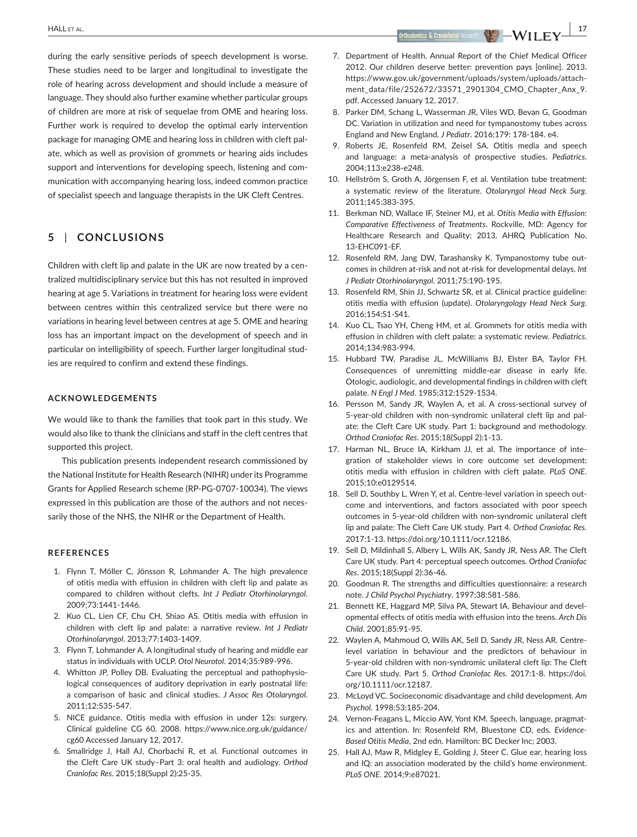during the early sensitive periods of speech development is worse. These studies need to be larger and longitudinal to investigate the role of hearing across development and should include a measure of language. They should also further examine whether particular groups of children are more at risk of sequelae from OME and hearing loss. Further work is required to develop the optimal early intervention package for managing OME and hearing loss in children with cleft palate, which as well as provision of grommets or hearing aids includes support and interventions for developing speech, listening and communication with accompanying hearing loss, indeed common practice of specialist speech and language therapists in the UK Cleft Centres.

## **5** | **CONCLUSIONS**

Children with cleft lip and palate in the UK are now treated by a centralized multidisciplinary service but this has not resulted in improved hearing at age 5. Variations in treatment for hearing loss were evident between centres within this centralized service but there were no variations in hearing level between centres at age 5. OME and hearing loss has an important impact on the development of speech and in particular on intelligibility of speech. Further larger longitudinal studies are required to confirm and extend these findings.

#### **ACKNOWLEDGEMENTS**

We would like to thank the families that took part in this study. We would also like to thank the clinicians and staff in the cleft centres that supported this project.

This publication presents independent research commissioned by the National Institute for Health Research (NIHR) under its Programme Grants for Applied Research scheme (RP-PG-0707-10034). The views expressed in this publication are those of the authors and not necessarily those of the NHS, the NIHR or the Department of Health.

### **REFERENCES**

- 1. Flynn T, Möller C, Jönsson R, Lohmander A. The high prevalence of otitis media with effusion in children with cleft lip and palate as compared to children without clefts. *Int J Pediatr Otorhinolaryngol*. 2009;73:1441-1446.
- 2. Kuo CL, Lien CF, Chu CH, Shiao AS. Otitis media with effusion in children with cleft lip and palate: a narrative review. *Int J Pediatr Otorhinolaryngol*. 2013;77:1403-1409.
- 3. Flynn T, Lohmander A. A longitudinal study of hearing and middle ear status in individuals with UCLP. *Otol Neurotol*. 2014;35:989-996.
- 4. Whitton JP, Polley DB. Evaluating the perceptual and pathophysiological consequences of auditory deprivation in early postnatal life: a comparison of basic and clinical studies. *J Assoc Res Otolaryngol*. 2011;12:535-547.
- 5. NICE guidance. Otitis media with effusion in under 12s: surgery. Clinical guideline CG 60. 2008. [https://www.nice.org.uk/guidance/](https://www.nice.org.uk/guidance/cg60) [cg60](https://www.nice.org.uk/guidance/cg60) Accessed January 12, 2017.
- 6. Smallridge J, Hall AJ, Chorbachi R, et al. Functional outcomes in the Cleft Care UK study–Part 3: oral health and audiology. *Orthod Craniofac Res*. 2015;18(Suppl 2):25-35.

7. Department of Health. Annual Report of the Chief Medical Officer 2012. Our children deserve better: prevention pays [online]. 2013. [https://www.gov.uk/government/uploads/system/uploads/attach](https://www.gov.uk/government/uploads/system/uploads/attachment_data/file/252672/33571_2901304_CMO_Chapter_Anx_9.pdf)[ment\\_data/file/252672/33571\\_2901304\\_CMO\\_Chapter\\_Anx\\_9.](https://www.gov.uk/government/uploads/system/uploads/attachment_data/file/252672/33571_2901304_CMO_Chapter_Anx_9.pdf) [pdf](https://www.gov.uk/government/uploads/system/uploads/attachment_data/file/252672/33571_2901304_CMO_Chapter_Anx_9.pdf). Accessed January 12, 2017.

- 8. Parker DM, Schang L, Wasserman JR, Viles WD, Bevan G, Goodman DC. Variation in utilization and need for tympanostomy tubes across England and New England. *J Pediatr*. 2016;179: 178-184. e4.
- 9. Roberts JE, Rosenfeld RM, Zeisel SA. Otitis media and speech and language: a meta-analysis of prospective studies. *Pediatrics*. 2004;113:e238-e248.
- 10. Hellström S, Groth A, Jörgensen F, et al. Ventilation tube treatment: a systematic review of the literature. *Otolaryngol Head Neck Surg*. 2011;145:383-395.
- 11. Berkman ND, Wallace IF, Steiner MJ, et al. *Otitis Media with Effusion: Comparative Effectiveness of Treatments*. Rockville, MD: Agency for Healthcare Research and Quality; 2013. AHRQ Publication No. 13-EHC091-EF.
- 12. Rosenfeld RM, Jang DW, Tarashansky K. Tympanostomy tube outcomes in children at-risk and not at-risk for developmental delays. *Int J Pediatr Otorhinolaryngol*. 2011;75:190-195.
- 13. Rosenfeld RM, Shin JJ, Schwartz SR, et al. Clinical practice guideline: otitis media with effusion (update). *Otolaryngology Head Neck Surg*. 2016;154:S1-S41.
- 14. Kuo CL, Tsao YH, Cheng HM, et al. Grommets for otitis media with effusion in children with cleft palate: a systematic review. *Pediatrics*. 2014;134:983-994.
- 15. Hubbard TW, Paradise JL, McWilliams BJ, Elster BA, Taylor FH. Consequences of unremitting middle-ear disease in early life. Otologic, audiologic, and developmental findings in children with cleft palate. *N Engl J Med*. 1985;312:1529-1534.
- 16. Persson M, Sandy JR, Waylen A, et al. A cross-sectional survey of 5-year-old children with non-syndromic unilateral cleft lip and palate: the Cleft Care UK study. Part 1: background and methodology. *Orthod Craniofac Res*. 2015;18(Suppl 2):1-13.
- 17. Harman NL, Bruce IA, Kirkham JJ, et al. The importance of integration of stakeholder views in core outcome set development: otitis media with effusion in children with cleft palate. *PLoS ONE*. 2015;10:e0129514.
- 18. Sell D, Southby L, Wren Y, et al. Centre-level variation in speech outcome and interventions, and factors associated with poor speech outcomes in 5-year-old children with non-syndromic unilateral cleft lip and palate: The Cleft Care UK study. Part 4. *Orthod Craniofac Res.* 2017:1-13. [https://doi.org/10.1111/ocr.12186.](https://doi.org/10.1111/ocr.12186)
- 19. Sell D, Mildinhall S, Albery L, Wills AK, Sandy JR, Ness AR. The Cleft Care UK study. Part 4: perceptual speech outcomes. *Orthod Craniofac Res*. 2015;18(Suppl 2):36-46.
- 20. Goodman R. The strengths and difficulties questionnaire: a research note. *J Child Psychol Psychiatry*. 1997;38:581-586.
- 21. Bennett KE, Haggard MP, Silva PA, Stewart IA. Behaviour and developmental effects of otitis media with effusion into the teens. *Arch Dis Child*. 2001;85:91-95.
- 22. Waylen A, Mahmoud O, Wills AK, Sell D, Sandy JR, Ness AR. Centrelevel variation in behaviour and the predictors of behaviour in 5-year-old children with non-syndromic unilateral cleft lip: The Cleft Care UK study. Part 5. *Orthod Craniofac Res.* 2017:1-8. [https://doi.](https://doi.org/10.1111/ocr.12187) [org/10.1111/ocr.12187](https://doi.org/10.1111/ocr.12187).
- 23. McLoyd VC. Socioeconomic disadvantage and child development. *Am Psychol*. 1998;53:185-204.
- 24. Vernon-Feagans L, Miccio AW, Yont KM. Speech, language, pragmatics and attention. In: Rosenfeld RM, Bluestone CD, eds. *Evidence-Based Otitis Media*, 2nd edn. Hamilton: BC Decker Inc; 2003.
- 25. Hall AJ, Maw R, Midgley E, Golding J, Steer C. Glue ear, hearing loss and IQ: an association moderated by the child's home environment. *PLoS ONE*. 2014;9:e87021.